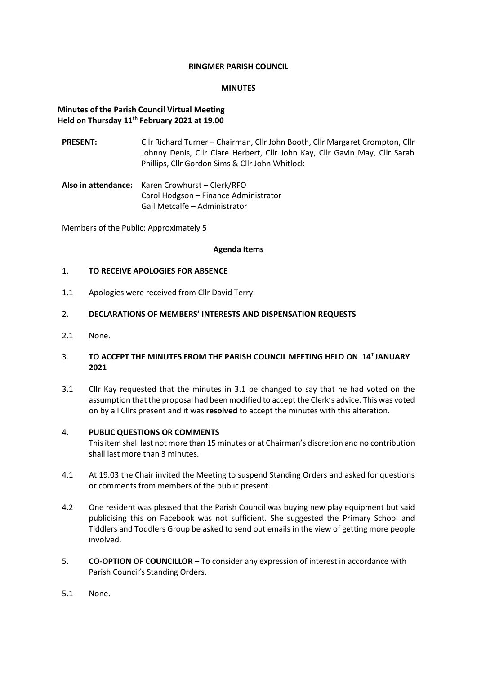#### **RINGMER PARISH COUNCIL**

#### **MINUTES**

### **Minutes of the Parish Council Virtual Meeting Held on Thursday 11th February 2021 at 19.00**

- **PRESENT:** Cllr Richard Turner Chairman, Cllr John Booth, Cllr Margaret Crompton, Cllr Johnny Denis, Cllr Clare Herbert, Cllr John Kay, Cllr Gavin May, Cllr Sarah Phillips, Cllr Gordon Sims & Cllr John Whitlock
- **Also in attendance:** Karen Crowhurst Clerk/RFO Carol Hodgson – Finance Administrator Gail Metcalfe – Administrator

Members of the Public: Approximately 5

#### **Agenda Items**

#### 1. **TO RECEIVE APOLOGIES FOR ABSENCE**

1.1 Apologies were received from Cllr David Terry.

#### 2. **DECLARATIONS OF MEMBERS' INTERESTS AND DISPENSATION REQUESTS**

2.1 None.

### 3. TO ACCEPT THE MINUTES FROM THE PARISH COUNCIL MEETING HELD ON 14<sup>T</sup> JANUARY **2021**

3.1 Cllr Kay requested that the minutes in 3.1 be changed to say that he had voted on the assumption that the proposal had been modified to accept the Clerk's advice. This was voted on by all Cllrs present and it was **resolved** to accept the minutes with this alteration.

#### 4. **PUBLIC QUESTIONS OR COMMENTS**

This item shall last not more than 15 minutes or at Chairman's discretion and no contribution shall last more than 3 minutes.

- 4.1 At 19.03 the Chair invited the Meeting to suspend Standing Orders and asked for questions or comments from members of the public present.
- 4.2 One resident was pleased that the Parish Council was buying new play equipment but said publicising this on Facebook was not sufficient. She suggested the Primary School and Tiddlers and Toddlers Group be asked to send out emails in the view of getting more people involved.
- 5. **CO-OPTION OF COUNCILLOR –** To consider any expression of interest in accordance with Parish Council's Standing Orders.
- 5.1 None**.**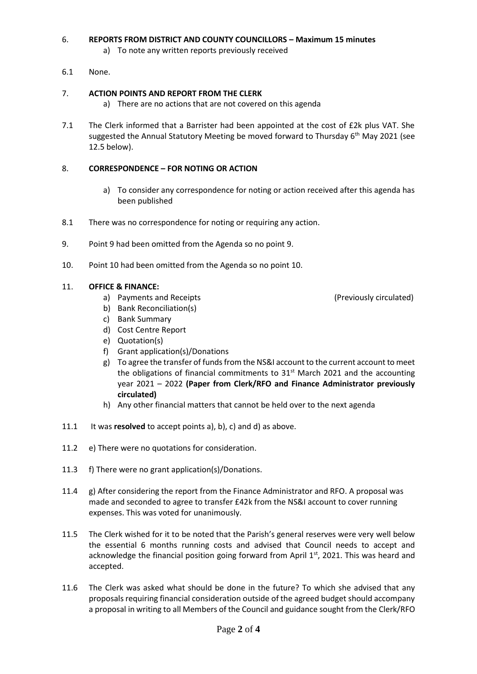# 6. **REPORTS FROM DISTRICT AND COUNTY COUNCILLORS – Maximum 15 minutes**

- a) To note any written reports previously received
- 6.1 None.

# 7. **ACTION POINTS AND REPORT FROM THE CLERK**

- a) There are no actions that are not covered on this agenda
- 7.1 The Clerk informed that a Barrister had been appointed at the cost of £2k plus VAT. She suggested the Annual Statutory Meeting be moved forward to Thursday  $6<sup>th</sup>$  May 2021 (see 12.5 below).

## 8. **CORRESPONDENCE – FOR NOTING OR ACTION**

- a) To consider any correspondence for noting or action received after this agenda has been published
- 8.1 There was no correspondence for noting or requiring any action.
- 9. Point 9 had been omitted from the Agenda so no point 9.
- 10. Point 10 had been omitted from the Agenda so no point 10.

### 11. **OFFICE & FINANCE:**

- a) Payments and Receipts (Previously circulated) and Receipts (Previously circulated)
- b) Bank Reconciliation(s)
- c) Bank Summary
- d) Cost Centre Report
- e) Quotation(s)
- f) Grant application(s)/Donations
- g) To agree the transfer of funds from the NS&I account to the current account to meet the obligations of financial commitments to  $31<sup>st</sup>$  March 2021 and the accounting year 2021 – 2022 **(Paper from Clerk/RFO and Finance Administrator previously circulated)**
- h) Any other financial matters that cannot be held over to the next agenda
- 11.1 It was **resolved** to accept points a), b), c) and d) as above.
- 11.2 e) There were no quotations for consideration.
- 11.3 f) There were no grant application(s)/Donations.
- 11.4 g) After considering the report from the Finance Administrator and RFO. A proposal was made and seconded to agree to transfer £42k from the NS&I account to cover running expenses. This was voted for unanimously.
- 11.5 The Clerk wished for it to be noted that the Parish's general reserves were very well below the essential 6 months running costs and advised that Council needs to accept and acknowledge the financial position going forward from April 1st, 2021. This was heard and accepted.
- 11.6 The Clerk was asked what should be done in the future? To which she advised that any proposals requiring financial consideration outside of the agreed budget should accompany a proposal in writing to all Members of the Council and guidance sought from the Clerk/RFO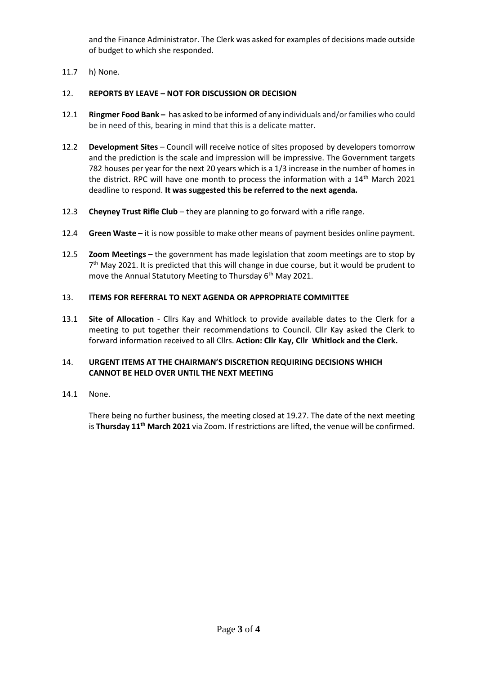and the Finance Administrator. The Clerk was asked for examples of decisions made outside of budget to which she responded.

11.7 h) None.

# 12. **REPORTS BY LEAVE – NOT FOR DISCUSSION OR DECISION**

- 12.1 **Ringmer Food Bank –** has asked to be informed of any individuals and/or families who could be in need of this, bearing in mind that this is a delicate matter.
- 12.2 **Development Sites** Council will receive notice of sites proposed by developers tomorrow and the prediction is the scale and impression will be impressive. The Government targets 782 houses per year for the next 20 years which is a 1/3 increase in the number of homes in the district. RPC will have one month to process the information with a  $14<sup>th</sup>$  March 2021 deadline to respond. **It was suggested this be referred to the next agenda.**
- 12.3 **Cheyney Trust Rifle Club**  they are planning to go forward with a rifle range.
- 12.4 **Green Waste –** it is now possible to make other means of payment besides online payment.
- 12.5 **Zoom Meetings** the government has made legislation that zoom meetings are to stop by 7<sup>th</sup> May 2021. It is predicted that this will change in due course, but it would be prudent to move the Annual Statutory Meeting to Thursday 6<sup>th</sup> May 2021.

## 13. **ITEMS FOR REFERRAL TO NEXT AGENDA OR APPROPRIATE COMMITTEE**

13.1 **Site of Allocation** - Cllrs Kay and Whitlock to provide available dates to the Clerk for a meeting to put together their recommendations to Council. Cllr Kay asked the Clerk to forward information received to all Cllrs. **Action: Cllr Kay, Cllr Whitlock and the Clerk.**

## 14. **URGENT ITEMS AT THE CHAIRMAN'S DISCRETION REQUIRING DECISIONS WHICH CANNOT BE HELD OVER UNTIL THE NEXT MEETING**

14.1 None.

There being no further business, the meeting closed at 19.27. The date of the next meeting is **Thursday 11th March 2021** via Zoom. If restrictions are lifted, the venue will be confirmed.